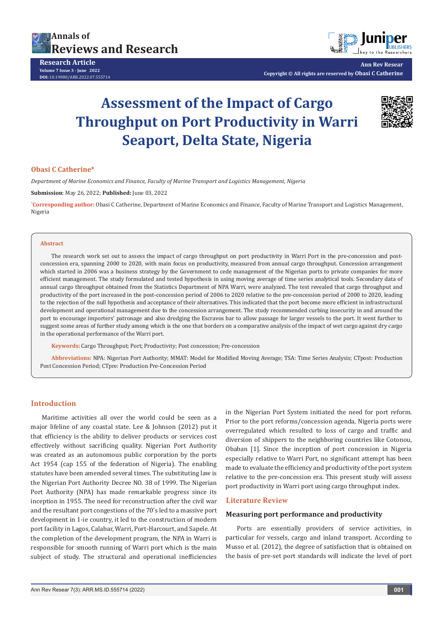



**Ann Rev Resear Copyright © All rights are reserved by Obasi C Catherine**

# **Assessment of the Impact of Cargo Throughput on Port Productivity in Warri Seaport, Delta State, Nigeria**



# **Obasi C Catherine\***

*Department of Marine Economics and Finance, Faculty of Marine Transport and Logistics Management, Nigeria*

**Submission**: May 26, 2022; **Published:** June 03, 2022

**\* Corresponding author:** Obasi C Catherine, Department of Marine Economics and Finance, Faculty of Marine Transport and Logistics Management, Nigeria

#### **Abstract**

The research work set out to assess the impact of cargo throughput on port productivity in Warri Port in the pre-concession and postconcession era, spanning 2000 to 2020, with main focus on productivity, measured from annual cargo throughput. Concession arrangement which started in 2006 was a business strategy by the Government to cede management of the Nigerian ports to private companies for more efficient management. The study formulated and tested hypothesis in using moving average of time series analytical tools. Secondary data of annual cargo throughput obtained from the Statistics Department of NPA Warri, were analyzed. The test revealed that cargo throughput and productivity of the port increased in the post-concession period of 2006 to 2020 relative to the pre-concession period of 2000 to 2020, leading to the rejection of the null hypothesis and acceptance of their alternatives. This indicated that the port become more efficient in infrastructural development and operational management due to the concession arrangement. The study recommended curbing insecurity in and around the port to encourage importers' patronage and also dredging the Escravos bar to allow passage for larger vessels to the port. It went further to suggest some areas of further study among which is the one that borders on a comparative analysis of the impact of wet cargo against dry cargo in the operational performance of the Warri port.

**Keywords:** Cargo Throughput; Port; Productivity; Post concession; Pre-concession

**Abbreviations:** NPA: Nigerian Port Authority; MMAT: Model for Modified Moving Average; TSA: Time Series Analysis; CTpost: Production Post Concession Period; CTpre: Production Pre-Concession Period

# **Introduction**

Maritime activities all over the world could be seen as a major lifeline of any coastal state. Lee & Johnson (2012) put it that efficiency is the ability to deliver products or services cost effectively without sacrificing quality. Nigerian Port Authority was created as an autonomous public corporation by the ports Act 1954 (cap 155 of the federation of Nigeria). The enabling statutes have been amended several times. The substituting law is the Nigerian Port Authority Decree NO. 38 of 1999. The Nigerian Port Authority (NPA) has made remarkable progress since its inception in 1955. The need for reconstruction after the civil war and the resultant port congestions of the 70's led to a massive port development in 1-ie country, it led to the construction of modern port facility in Lagos, Calabar, Warri, Port-Harcourt, and Sapele. At the completion of the development program, the NPA in Warri is responsible for smooth running of Warri port which is the main subject of study. The structural and operational inefficiencies

in the Nigerian Port System initiated the need for port reform. Prior to the port reforms/concession agenda, Nigeria ports were overregulated which resulted to loss of cargo and traffic and diversion of shippers to the neighboring countries like Cotonou, Obaban [1]. Since the inception of port concession in Nigeria especially relative to Warri Port, no significant attempt has been made to evaluate the efficiency and productivity of the port system relative to the pre-concession era. This present study will assess port productivity in Warri port using cargo throughput index.

#### **Literature Review**

#### **Measuring port performance and productivity**

Ports are essentially providers of service activities, in particular for vessels, cargo and inland transport. According to Musso et al. (2012), the degree of satisfaction that is obtained on the basis of pre-set port standards will indicate the level of port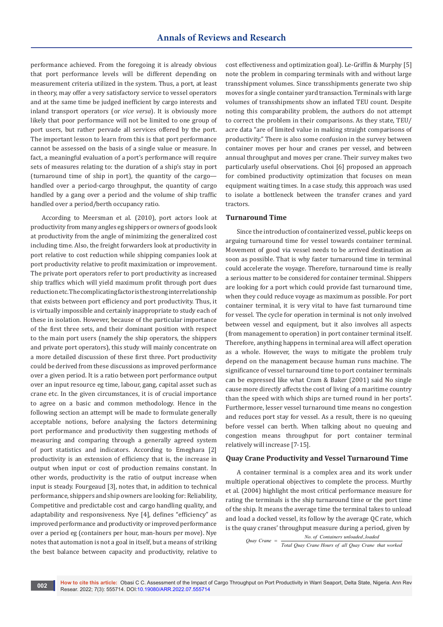performance achieved. From the foregoing it is already obvious that port performance levels will be different depending on measurement criteria utilized in the system. Thus, a port, at least in theory, may offer a very satisfactory service to vessel operators and at the same time be judged inefficient by cargo interests and inland transport operators (or *vice versa*). It is obviously more likely that poor performance will not be limited to one group of port users, but rather pervade all services offered by the port. The important lesson to learn from this is that port performance cannot be assessed on the basis of a single value or measure. In fact, a meaningful evaluation of a port's performance will require sets of measures relating to: the duration of a ship's stay in port (turnaround time of ship in port), the quantity of the cargo handled over a period-cargo throughput, the quantity of cargo handled by a gang over a period and the volume of ship traffic handled over a period/berth occupancy ratio.

According to Meersman et al. (2010), port actors look at productivity from many angles eg shippers or owners of goods look at productivity from the angle of minimizing the generalized cost including time. Also, the freight forwarders look at productivity in port relative to cost reduction while shipping companies look at port productivity relative to profit maximization or improvement. The private port operators refer to port productivity as increased ship traffics which will yield maximum profit through port dues reduction etc. The complicating factor is the strong interrelationship that exists between port efficiency and port productivity. Thus, it is virtually impossible and certainly inappropriate to study each of these in isolation. However, because of the particular importance of the first three sets, and their dominant position with respect to the main port users (namely the ship operators, the shippers and private port operators), this study will mainly concentrate on a more detailed discussion of these first three. Port productivity could be derived from these discussions as improved performance over a given period. It is a ratio between port performance output over an input resource eg time, labour, gang, capital asset such as crane etc. In the given circumstances, it is of crucial importance to agree on a basic and common methodology. Hence in the following section an attempt will be made to formulate generally acceptable notions, before analysing the factors determining port performance and productivity then suggesting methods of measuring and comparing through a generally agreed system of port statistics and indicators. According to Emeghara [2] productivity is an extension of efficiency that is, the increase in output when input or cost of production remains constant. In other words, productivity is the ratio of output increase when input is steady. Fourgeaud [3], notes that, in addition to technical performance, shippers and ship owners are looking for: Reliability, Competitive and predictable cost and cargo handling quality, and adaptability and responsiveness. Nye [4], defines "efficiency" as improved performance and productivity or improved performance over a period eg (containers per hour, man-hours per move). Nye notes that automation is not a goal in itself, but a means of striking the best balance between capacity and productivity, relative to

cost effectiveness and optimization goal). Le-Griffin & Murphy [5] note the problem in comparing terminals with and without large transshipment volumes. Since transshipments generate two ship moves for a single container yard transaction. Terminals with large volumes of transshipments show an inflated TEU count. Despite noting this comparability problem, the authors do not attempt to correct the problem in their comparisons. As they state, TEU/ acre data "are of limited value in making straight comparisons of productivity." There is also some confusion in the survey between container moves per hour and cranes per vessel, and between annual throughput and moves per crane. Their survey makes two particularly useful observations. Choi [6] proposed an approach for combined productivity optimization that focuses on mean equipment waiting times. In a case study, this approach was used to isolate a bottleneck between the transfer cranes and yard tractors.

## **Turnaround Time**

Since the introduction of containerized vessel, public keeps on arguing turnaround time for vessel towards container terminal. Movement of good via vessel needs to be arrived destination as soon as possible. That is why faster turnaround time in terminal could accelerate the voyage. Therefore, turnaround time is really a serious matter to be considered for container terminal. Shippers are looking for a port which could provide fast turnaround time, when they could reduce voyage as maximum as possible. For port container terminal, it is very vital to have fast turnaround time for vessel. The cycle for operation in terminal is not only involved between vessel and equipment, but it also involves all aspects (from management to operation) in port container terminal itself. Therefore, anything happens in terminal area will affect operation as a whole. However, the ways to mitigate the problem truly depend on the management because human runs machine. The significance of vessel turnaround time to port container terminals can be expressed like what Cram & Baker (2001) said No single cause more directly affects the cost of living of a maritime country than the speed with which ships are turned round in her ports". Furthermore, lesser vessel turnaround time means no congestion and reduces port stay for vessel. As a result, there is no queuing before vessel can berth. When talking about no queuing and congestion means throughput for port container terminal relatively will increase [7-15].

#### **Quay Crane Productivity and Vessel Turnaround Time**

A container terminal is a complex area and its work under multiple operational objectives to complete the process. Murthy et al. (2004) highlight the most critical performance measure for rating the terminals is the ship turnaround time or the port time of the ship. It means the average time the terminal takes to unload and load a docked vessel, its follow by the average QC rate, which is the quay cranes' throughput measure during a period, given by

<sup>. ,</sup>  *No of Containers unloaded loaded Quay Crane Total Quay Crane Hours of all Quay Crane that worked* <sup>=</sup>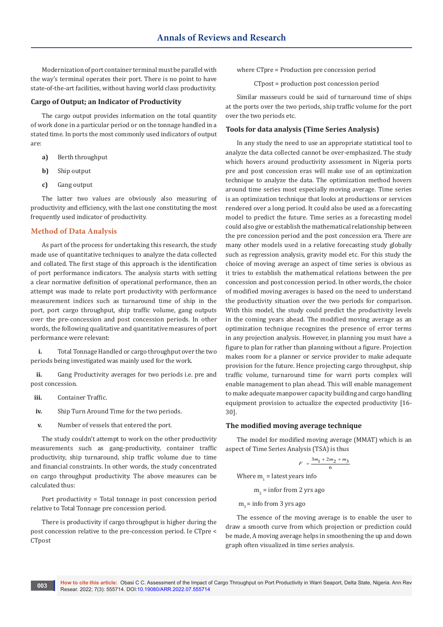Modernization of port container terminal must be parallel with the way's terminal operates their port. There is no point to have state-of-the-art facilities, without having world class productivity.

## **Cargo of Output; an Indicator of Productivity**

The cargo output provides information on the total quantity of work done in a particular period or on the tonnage handled in a stated time. In ports the most commonly used indicators of output are:

- **a)** Berth throughput
- **b)** Ship output
- **c)** Gang output

The latter two values are obviously also measuring of productivity and efficiency, with the last one constituting the most frequently used indicator of productivity.

# **Method of Data Analysis**

As part of the process for undertaking this research, the study made use of quantitative techniques to analyze the data collected and collated. The first stage of this approach is the identification of port performance indicators. The analysis starts with setting a clear normative definition of operational performance, then an attempt was made to relate port productivity with performance measurement indices such as turnaround time of ship in the port, port cargo throughput, ship traffic volume, gang outputs over the pre-concession and post concession periods. In other words, the following qualitative and quantitative measures of port performance were relevant:

**i.** Total Tonnage Handled or cargo throughput over the two periods being investigated was mainly used for the work.

**ii.** Gang Productivity averages for two periods i.e. pre and post concession.

- **iii.** Container Traffic.
- **iv.** Ship Turn Around Time for the two periods.
- **v.** Number of vessels that entered the port.

The study couldn't attempt to work on the other productivity measurements such as gang-productivity, container traffic productivity, ship turnaround, ship traffic volume due to time and financial constraints. In other words, the study concentrated on cargo throughput productivity. The above measures can be calculated thus:

Port productivity = Total tonnage in post concession period relative to Total Tonnage pre concession period.

There is productivity if cargo throughput is higher during the post concession relative to the pre-concession period. Ie CTpre < CTpost

where CTpre = Production pre concession period

CTpost = production post concession period

Similar masseurs could be said of turnaround time of ships at the ports over the two periods, ship traffic volume for the port over the two periods etc.

### **Tools for data analysis (Time Series Analysis)**

In any study the need to use an appropriate statistical tool to analyze the data collected cannot be over-emphasized. The study which hovers around productivity assessment in Nigeria ports pre and post concession eras will make use of an optimization technique to analyze the data. The optimization method hovers around time series most especially moving average. Time series is an optimization technique that looks at productions or services rendered over a long period. It could also be used as a forecasting model to predict the future. Time series as a forecasting model could also give or establish the mathematical relationship between the pre concession period and the post concession era. There are many other models used in a relative forecasting study globally such as regression analysis, gravity model etc. For this study the choice of moving average an aspect of time series is obvious as it tries to establish the mathematical relations between the pre concession and post concession period. In other words, the choice of modified moving averages is based on the need to understand the productivity situation over the two periods for comparison. With this model, the study could predict the productivity levels in the coming years ahead. The modified moving average as an optimization technique recognizes the presence of error terms in any projection analysis. However, in planning you must have a figure to plan for rather than planning without a figure. Projection makes room for a planner or service provider to make adequate provision for the future. Hence projecting cargo throughput, ship traffic volume, turnaround time for warri ports complex will enable management to plan ahead. This will enable management to make adequate manpower capacity building and cargo handling equipment provision to actualize the expected productivity [16- 30].

## **The modified moving average technique**

The model for modified moving average (MMAT) which is an aspect of Time Series Analysis (TSA) is thus

$$
F = \frac{3m_1 + 2m_2 + m_3}{6}
$$

Where  $m_1$  = latest years info

 $m_2$  = infor from 2 yrs ago

 $m<sub>2</sub>$  = info from 3 yrs ago

The essence of the moving average is to enable the user to draw a smooth curve from which projection or prediction could be made, A moving average helps in smoothening the up and down graph often visualized in time series analysis.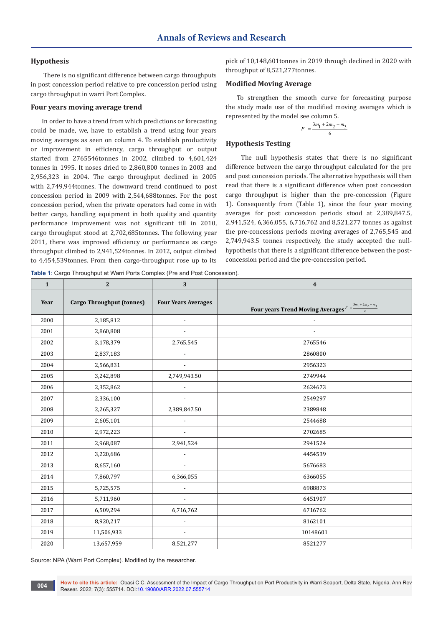# **Hypothesis**

 There is no significant difference between cargo throughputs in post concession period relative to pre concession period using cargo throughput in warri Port Complex.

# **Four years moving average trend**

In order to have a trend from which predictions or forecasting could be made, we, have to establish a trend using four years moving averages as seen on column 4. To establish productivity or improvement in efficiency, cargo throughput or output started from 2765546tonnes in 2002, climbed to 4,601,424 tonnes in 1995. It noses dried to 2,860,800 tonnes in 2003 and 2,956,323 in 2004. The cargo throughput declined in 2005 with 2,749,944tonnes. The downward trend continued to post concession period in 2009 with 2,544,688tonnes. For the post concession period, when the private operators had come in with better cargo, handling equipment in both quality and quantity performance improvement was not significant till in 2010, cargo throughput stood at 2,702,685tonnes. The following year 2011, there was improved efficiency or performance as cargo throughput climbed to 2,941,524tonnes. In 2012, output climbed to 4,454,539tonnes. From then cargo-throughput rose up to its

pick of 10,148,601tonnes in 2019 through declined in 2020 with throughput of 8,521,277tonnes.

#### **Modified Moving Average**

To strengthen the smooth curve for forecasting purpose the study made use of the modified moving averages which is represented by the model see column 5.

$$
F = \frac{3m_1 + 2m_2 + m_3}{6}
$$

# **Hypothesis Testing**

 The null hypothesis states that there is no significant difference between the cargo throughput calculated for the pre and post concession periods. The alternative hypothesis will then read that there is a significant difference when post concession cargo throughput is higher than the pre-concession (Figure 1). Consequently from (Table 1), since the four year moving averages for post concession periods stood at 2,389,847.5, 2,941,524, 6,366,055, 6,716,762 and 8,521,277 tonnes as against the pre-concessions periods moving averages of 2,765,545 and 2,749,943.5 tonnes respectively, the study accepted the nullhypothesis that there is a significant difference between the postconcession period and the pre-concession period.

**Table 1**: Cargo Throughput at Warri Ports Complex (Pre and Post Concession).

| $\mathbf{1}$ | $\overline{2}$                   | 3                          | $\overline{\mathbf{4}}$                                            |
|--------------|----------------------------------|----------------------------|--------------------------------------------------------------------|
| Year         | <b>Cargo Throughput (tonnes)</b> | <b>Four Years Averages</b> | Four years Trend Moving Averages $F = \frac{3m_1 + 2m_2 + m_3}{6}$ |
| 2000         | 2,185,812                        | $\overline{\phantom{a}}$   |                                                                    |
| 2001         | 2,860,808                        | $\overline{\phantom{a}}$   |                                                                    |
| 2002         | 3,178,379                        | 2,765,545                  | 2765546                                                            |
| 2003         | 2,837,183                        | $\blacksquare$             | 2860800                                                            |
| 2004         | 2,566,831                        | $\overline{\phantom{a}}$   | 2956323                                                            |
| 2005         | 3,242,898                        | 2,749,943.50               | 2749944                                                            |
| 2006         | 2,352,862                        | $\blacksquare$             | 2624673                                                            |
| 2007         | 2,336,100                        |                            | 2549297                                                            |
| 2008         | 2,265,327                        | 2,389,847.50               | 2389848                                                            |
| 2009         | 2,605,101                        | $\overline{\phantom{a}}$   | 2544688                                                            |
| 2010         | 2,972,223                        | $\overline{\phantom{a}}$   | 2702685                                                            |
| 2011         | 2,968,087                        | 2,941,524                  | 2941524                                                            |
| 2012         | 3,220,686                        | $\overline{\phantom{a}}$   | 4454539                                                            |
| 2013         | 8,657,160                        | $\overline{\phantom{a}}$   | 5676683                                                            |
| 2014         | 7,860,797                        | 6,366,055                  | 6366055                                                            |
| 2015         | 5,725,575                        | $\overline{\phantom{a}}$   | 6988873                                                            |
| 2016         | 5,711,960                        | $\overline{\phantom{a}}$   | 6451907                                                            |
| 2017         | 6,509,294                        | 6,716,762                  | 6716762                                                            |
| 2018         | 8,920,217                        | $\blacksquare$             | 8162101                                                            |
| 2019         | 11,506,933                       | $\overline{\phantom{a}}$   | 10148601                                                           |
| 2020         | 13,657,959                       | 8,521,277                  | 8521277                                                            |

Source: NPA (Warri Port Complex). Modified by the researcher.

**How to cite this article:** Obasi C C. Assessment of the Impact of Cargo Throughput on Port Productivity in Warri Seaport, Delta State, Nigeria. Ann Rev **004 Resear. 2022; 7(3): 555714. DOI[:10.19080/ARR.2022.07.5557](http://dx.doi.org/10.19080/ARR.2022.07.555714)14 DOI:10.19080/ARR.2022.07.555714**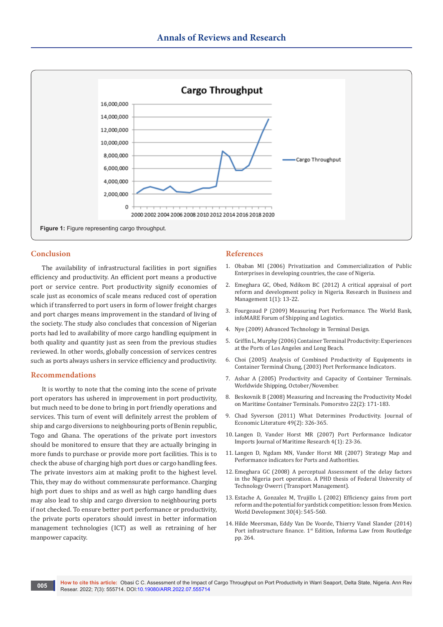

### **Conclusion**

The availability of infrastructural facilities in port signifies efficiency and productivity. An efficient port means a productive port or service centre. Port productivity signify economies of scale just as economics of scale means reduced cost of operation which if transferred to port users in form of lower freight charges and port charges means improvement in the standard of living of the society. The study also concludes that concession of Nigerian ports had led to availability of more cargo handling equipment in both quality and quantity just as seen from the previous studies reviewed. In other words, globally concession of services centres such as ports always ushers in service efficiency and productivity.

#### **Recommendations**

It is worthy to note that the coming into the scene of private port operators has ushered in improvement in port productivity, but much need to be done to bring in port friendly operations and services. This turn of event will definitely arrest the problem of ship and cargo diversions to neighbouring ports of Benin republic, Togo and Ghana. The operations of the private port investors should be monitored to ensure that they are actually bringing in more funds to purchase or provide more port facilities. This is to check the abuse of charging high port dues or cargo handling fees. The private investors aim at making profit to the highest level. This, they may do without commensurate performance. Charging high port dues to ships and as well as high cargo handling dues may also lead to ship and cargo diversion to neighbouring ports if not checked. To ensure better port performance or productivity, the private ports operators should invest in better information management technologies (ICT) as well as retraining of her manpower capacity.

#### **References**

- 1. Obaban MI (2006) Privatization and Commercialization of Public Enterprises in developing countries, the case of Nigeria.
- 2. Emeghara GC, Obed, Ndikom BC (2012) A critical appraisal of port reform and development policy in Nigeria. Research in Business and Management 1(1): 13-22.
- 3. Fourgeaud P (2009) Measuring Port Performance. The World Bank, infoMARE Forum of Shipping and Logistics.
- 4. Nye (2009) Advanced Technology in Terminal Design.
- 5. [Griffin L, Murphy \(2006\) Container Terminal Productivity: Experiences](https://accessaintlaurentbeauport.org/wp-content/uploads/2019/06/Le-Griffin-2006-Container-terminal-productivity-Experiences-of-ports-of-Los-Angeles-and-Long-Beach.pdf)  [at the Ports of Los Angeles and Long Beach.](https://accessaintlaurentbeauport.org/wp-content/uploads/2019/06/Le-Griffin-2006-Container-terminal-productivity-Experiences-of-ports-of-Los-Angeles-and-Long-Beach.pdf)
- 6. Choi (2005) Analysis of Combined Productivity of Equipments in Container Terminal Chung, (2003) Port Performance Indicators.
- 7. Ashar A (2005) Productivity and Capacity of Container Terminals. Worldwide Shipping, October/November.
- 8. Beskovnik B (2008) Measuring and Increasing the Productivity Model on Maritime Container Terminals. Pomorstvo 22(2): 171-183.
- 9. [Chad Syverson \(2011\) What Determines Productivity. Journal of](https://home.uchicago.edu/~syverson/productivitysurvey.pdf)  [Economic Literature 49\(2\): 326-365.](https://home.uchicago.edu/~syverson/productivitysurvey.pdf)
- 10. Langen D, Vander Horst MR (2007) Port Performance Indicator Imports Journal of Maritime Research 4(1): 23-36.
- 11. Langen D, Ngdam MN, Vander Horst MR (2007) Strategy Map and Performance indicators for Ports and Authorities.
- 12. Emeghara GC (2008) A perceptual Assessment of the delay factors in the Nigeria port operation. A PHD thesis of Federal University of Technology Owerri (Transport Management).
- 13. [Estache A, Gonzalez M, Trujillo L \(2002\) Efficiency gains from port](https://www.sciencedirect.com/science/article/abs/pii/S0305750X01001292)  [reform and the potential for yardstick competition: lesson from Mexico.](https://www.sciencedirect.com/science/article/abs/pii/S0305750X01001292)  [World Development 30\(4\): 545-560.](https://www.sciencedirect.com/science/article/abs/pii/S0305750X01001292)
- 14. Hilde Meersman, Eddy Van De Voorde, Thierry Vanel Slander (2014) Port infrastructure finance. 1<sup>st</sup> Edition, Informa Law from Routledge pp. 264.